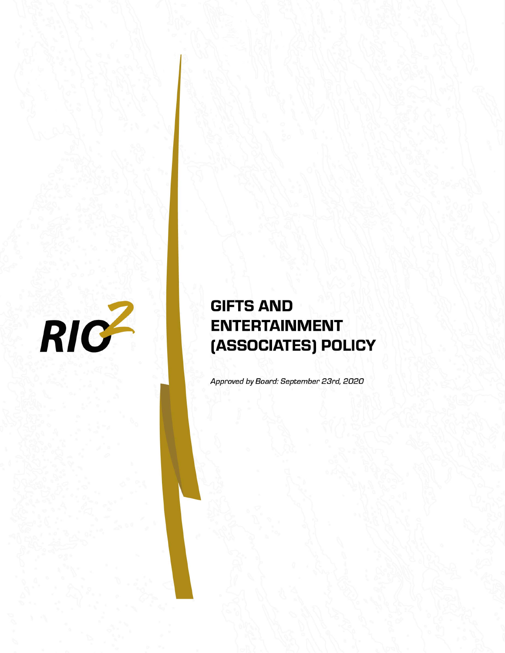

# **GIFTS AND ENTERTAINMENT** (ASSOCIATES) POLICY

Approved by Board: September 23rd, 2020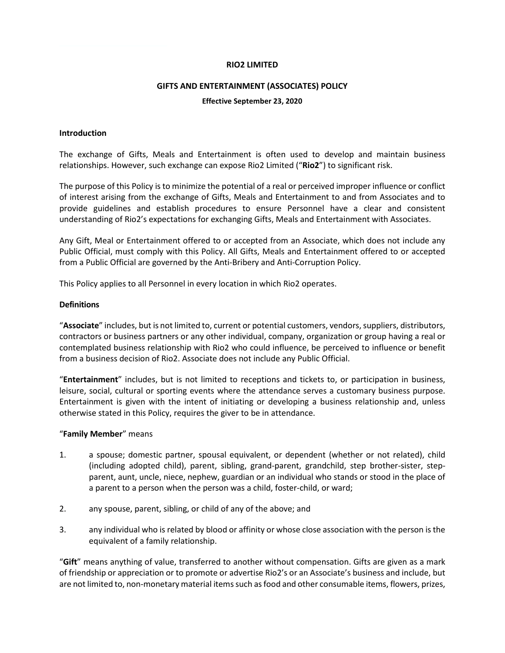#### **RIO2 LIMITED**

#### **GIFTS AND ENTERTAINMENT (ASSOCIATES) POLICY**

#### **Effective September 23, 2020**

#### **Introduction**

The exchange of Gifts, Meals and Entertainment is often used to develop and maintain business relationships. However, such exchange can expose Rio2 Limited ("**Rio2**") to significant risk.

The purpose of this Policy is to minimize the potential of a real or perceived improper influence or conflict of interest arising from the exchange of Gifts, Meals and Entertainment to and from Associates and to provide guidelines and establish procedures to ensure Personnel have a clear and consistent understanding of Rio2's expectations for exchanging Gifts, Meals and Entertainment with Associates.

Any Gift, Meal or Entertainment offered to or accepted from an Associate, which does not include any Public Official, must comply with this Policy. All Gifts, Meals and Entertainment offered to or accepted from a Public Official are governed by the Anti-Bribery and Anti-Corruption Policy.

This Policy applies to all Personnel in every location in which Rio2 operates.

#### **Definitions**

"**Associate**" includes, but is not limited to, current or potential customers, vendors, suppliers, distributors, contractors or business partners or any other individual, company, organization or group having a real or contemplated business relationship with Rio2 who could influence, be perceived to influence or benefit from a business decision of Rio2. Associate does not include any Public Official.

"**Entertainment**" includes, but is not limited to receptions and tickets to, or participation in business, leisure, social, cultural or sporting events where the attendance serves a customary business purpose. Entertainment is given with the intent of initiating or developing a business relationship and, unless otherwise stated in this Policy, requires the giver to be in attendance.

#### "**Family Member**" means

- 1. a spouse; domestic partner, spousal equivalent, or dependent (whether or not related), child (including adopted child), parent, sibling, grand-parent, grandchild, step brother-sister, stepparent, aunt, uncle, niece, nephew, guardian or an individual who stands or stood in the place of a parent to a person when the person was a child, foster-child, or ward;
- 2. any spouse, parent, sibling, or child of any of the above; and
- 3. any individual who is related by blood or affinity or whose close association with the person is the equivalent of a family relationship.

"**Gift**" means anything of value, transferred to another without compensation. Gifts are given as a mark of friendship or appreciation or to promote or advertise Rio2's or an Associate's business and include, but are not limited to, non-monetary material items such as food and other consumable items, flowers, prizes,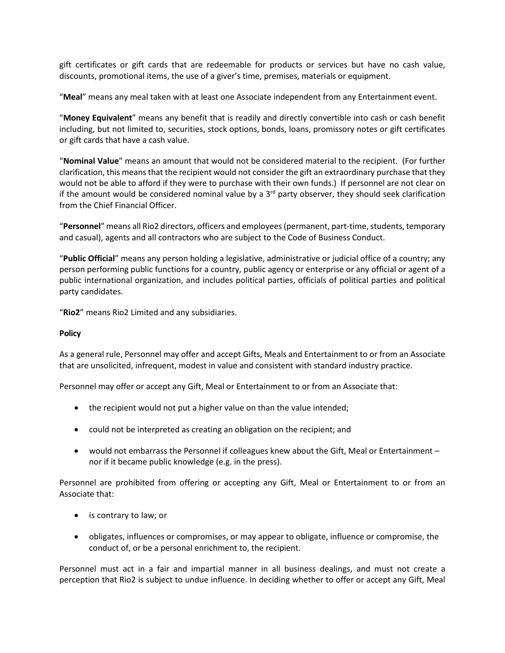gift certificates or gift cards that are redeemable for products or services but have no cash value, discounts, promotional items, the use of a giver's time, premises, materials or equipment.

"**Meal**" means any meal taken with at least one Associate independent from any Entertainment event.

"**Money Equivalent**" means any benefit that is readily and directly convertible into cash or cash benefit including, but not limited to, securities, stock options, bonds, loans, promissory notes or gift certificates or gift cards that have a cash value.

"**Nominal Value**" means an amount that would not be considered material to the recipient. (For further clarification, this means that the recipient would not consider the gift an extraordinary purchase that they would not be able to afford if they were to purchase with their own funds.) If personnel are not clear on if the amount would be considered nominal value by a  $3<sup>rd</sup>$  party observer, they should seek clarification from the Chief Financial Officer.

"**Personnel**" means all Rio2 directors, officers and employees (permanent, part-time, students, temporary and casual), agents and all contractors who are subject to the Code of Business Conduct.

"**Public Official**" means any person holding a legislative, administrative or judicial office of a country; any person performing public functions for a country, public agency or enterprise or any official or agent of a public international organization, and includes political parties, officials of political parties and political party candidates.

"**Rio2**" means Rio2 Limited and any subsidiaries.

## **Policy**

As a general rule, Personnel may offer and accept Gifts, Meals and Entertainment to or from an Associate that are unsolicited, infrequent, modest in value and consistent with standard industry practice.

Personnel may offer or accept any Gift, Meal or Entertainment to or from an Associate that:

- the recipient would not put a higher value on than the value intended;
- could not be interpreted as creating an obligation on the recipient; and
- would not embarrass the Personnel if colleagues knew about the Gift, Meal or Entertainment nor if it became public knowledge (e.g. in the press).

Personnel are prohibited from offering or accepting any Gift, Meal or Entertainment to or from an Associate that:

- is contrary to law; or
- obligates, influences or compromises, or may appear to obligate, influence or compromise, the conduct of, or be a personal enrichment to, the recipient.

Personnel must act in a fair and impartial manner in all business dealings, and must not create a perception that Rio2 is subject to undue influence. In deciding whether to offer or accept any Gift, Meal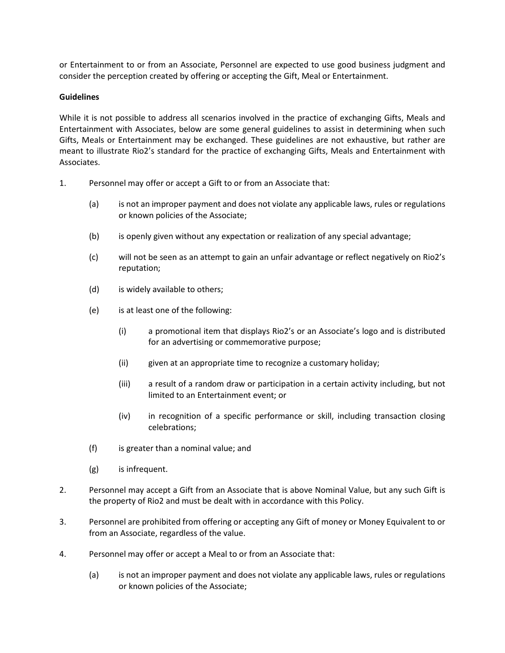or Entertainment to or from an Associate, Personnel are expected to use good business judgment and consider the perception created by offering or accepting the Gift, Meal or Entertainment.

## **Guidelines**

While it is not possible to address all scenarios involved in the practice of exchanging Gifts, Meals and Entertainment with Associates, below are some general guidelines to assist in determining when such Gifts, Meals or Entertainment may be exchanged. These guidelines are not exhaustive, but rather are meant to illustrate Rio2's standard for the practice of exchanging Gifts, Meals and Entertainment with Associates.

- 1. Personnel may offer or accept a Gift to or from an Associate that:
	- (a) is not an improper payment and does not violate any applicable laws, rules or regulations or known policies of the Associate;
	- (b) is openly given without any expectation or realization of any special advantage;
	- (c) will not be seen as an attempt to gain an unfair advantage or reflect negatively on Rio2's reputation;
	- (d) is widely available to others;
	- (e) is at least one of the following:
		- (i) a promotional item that displays Rio2's or an Associate's logo and is distributed for an advertising or commemorative purpose;
		- (ii) given at an appropriate time to recognize a customary holiday;
		- (iii) a result of a random draw or participation in a certain activity including, but not limited to an Entertainment event; or
		- (iv) in recognition of a specific performance or skill, including transaction closing celebrations;
	- (f) is greater than a nominal value; and
	- (g) is infrequent.
- 2. Personnel may accept a Gift from an Associate that is above Nominal Value, but any such Gift is the property of Rio2 and must be dealt with in accordance with this Policy.
- 3. Personnel are prohibited from offering or accepting any Gift of money or Money Equivalent to or from an Associate, regardless of the value.
- 4. Personnel may offer or accept a Meal to or from an Associate that:
	- (a) is not an improper payment and does not violate any applicable laws, rules or regulations or known policies of the Associate;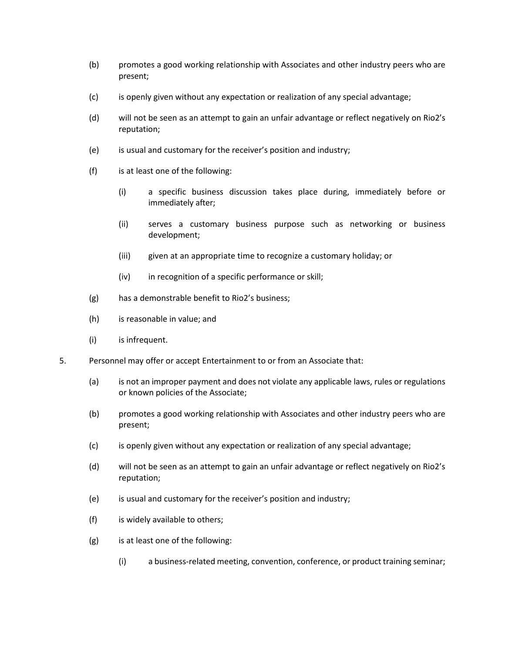- (b) promotes a good working relationship with Associates and other industry peers who are present;
- (c) is openly given without any expectation or realization of any special advantage;
- (d) will not be seen as an attempt to gain an unfair advantage or reflect negatively on Rio2's reputation;
- (e) is usual and customary for the receiver's position and industry;
- (f) is at least one of the following:
	- (i) a specific business discussion takes place during, immediately before or immediately after;
	- (ii) serves a customary business purpose such as networking or business development;
	- (iii) given at an appropriate time to recognize a customary holiday; or
	- (iv) in recognition of a specific performance or skill;
- (g) has a demonstrable benefit to Rio2's business;
- (h) is reasonable in value; and
- (i) is infrequent.
- 5. Personnel may offer or accept Entertainment to or from an Associate that:
	- (a) is not an improper payment and does not violate any applicable laws, rules or regulations or known policies of the Associate;
	- (b) promotes a good working relationship with Associates and other industry peers who are present;
	- (c) is openly given without any expectation or realization of any special advantage;
	- (d) will not be seen as an attempt to gain an unfair advantage or reflect negatively on Rio2's reputation;
	- (e) is usual and customary for the receiver's position and industry;
	- (f) is widely available to others;
	- (g) is at least one of the following:
		- (i) a business-related meeting, convention, conference, or product training seminar;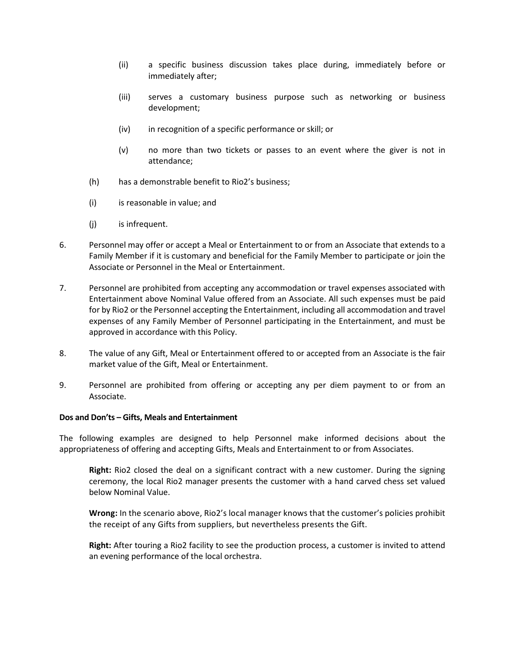- (ii) a specific business discussion takes place during, immediately before or immediately after;
- (iii) serves a customary business purpose such as networking or business development;
- (iv) in recognition of a specific performance or skill; or
- (v) no more than two tickets or passes to an event where the giver is not in attendance;
- (h) has a demonstrable benefit to Rio2's business;
- (i) is reasonable in value; and
- (j) is infrequent.
- 6. Personnel may offer or accept a Meal or Entertainment to or from an Associate that extends to a Family Member if it is customary and beneficial for the Family Member to participate or join the Associate or Personnel in the Meal or Entertainment.
- 7. Personnel are prohibited from accepting any accommodation or travel expenses associated with Entertainment above Nominal Value offered from an Associate. All such expenses must be paid for by Rio2 or the Personnel accepting the Entertainment, including all accommodation and travel expenses of any Family Member of Personnel participating in the Entertainment, and must be approved in accordance with this Policy.
- 8. The value of any Gift, Meal or Entertainment offered to or accepted from an Associate is the fair market value of the Gift, Meal or Entertainment.
- 9. Personnel are prohibited from offering or accepting any per diem payment to or from an Associate.

#### **Dos and Don'ts – Gifts, Meals and Entertainment**

The following examples are designed to help Personnel make informed decisions about the appropriateness of offering and accepting Gifts, Meals and Entertainment to or from Associates.

**Right:** Rio2 closed the deal on a significant contract with a new customer. During the signing ceremony, the local Rio2 manager presents the customer with a hand carved chess set valued below Nominal Value.

**Wrong:** In the scenario above, Rio2's local manager knows that the customer's policies prohibit the receipt of any Gifts from suppliers, but nevertheless presents the Gift.

**Right:** After touring a Rio2 facility to see the production process, a customer is invited to attend an evening performance of the local orchestra.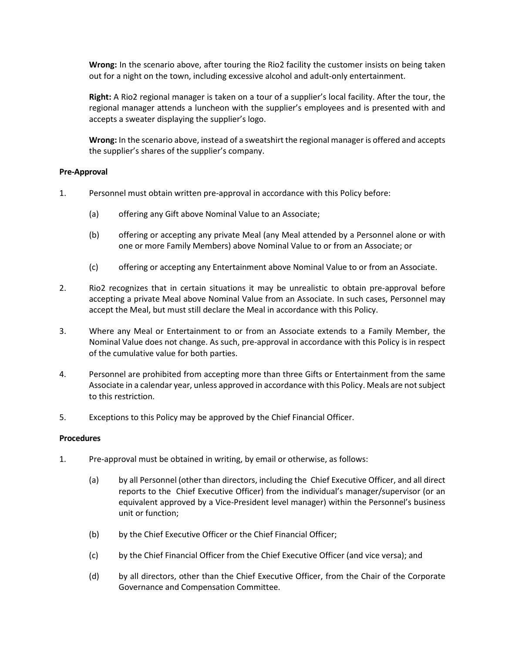**Wrong:** In the scenario above, after touring the Rio2 facility the customer insists on being taken out for a night on the town, including excessive alcohol and adult-only entertainment.

**Right:** A Rio2 regional manager is taken on a tour of a supplier's local facility. After the tour, the regional manager attends a luncheon with the supplier's employees and is presented with and accepts a sweater displaying the supplier's logo.

**Wrong:** In the scenario above, instead of a sweatshirt the regional manager is offered and accepts the supplier's shares of the supplier's company.

### **Pre-Approval**

- 1. Personnel must obtain written pre-approval in accordance with this Policy before:
	- (a) offering any Gift above Nominal Value to an Associate;
	- (b) offering or accepting any private Meal (any Meal attended by a Personnel alone or with one or more Family Members) above Nominal Value to or from an Associate; or
	- (c) offering or accepting any Entertainment above Nominal Value to or from an Associate.
- 2. Rio2 recognizes that in certain situations it may be unrealistic to obtain pre-approval before accepting a private Meal above Nominal Value from an Associate. In such cases, Personnel may accept the Meal, but must still declare the Meal in accordance with this Policy.
- 3. Where any Meal or Entertainment to or from an Associate extends to a Family Member, the Nominal Value does not change. As such, pre-approval in accordance with this Policy is in respect of the cumulative value for both parties.
- 4. Personnel are prohibited from accepting more than three Gifts or Entertainment from the same Associate in a calendar year, unless approved in accordance with this Policy. Meals are not subject to this restriction.
- 5. Exceptions to this Policy may be approved by the Chief Financial Officer.

#### **Procedures**

- 1. Pre-approval must be obtained in writing, by email or otherwise, as follows:
	- (a) by all Personnel (other than directors, including the Chief Executive Officer, and all direct reports to the Chief Executive Officer) from the individual's manager/supervisor (or an equivalent approved by a Vice-President level manager) within the Personnel's business unit or function;
	- (b) by the Chief Executive Officer or the Chief Financial Officer;
	- (c) by the Chief Financial Officer from the Chief Executive Officer (and vice versa); and
	- (d) by all directors, other than the Chief Executive Officer, from the Chair of the Corporate Governance and Compensation Committee.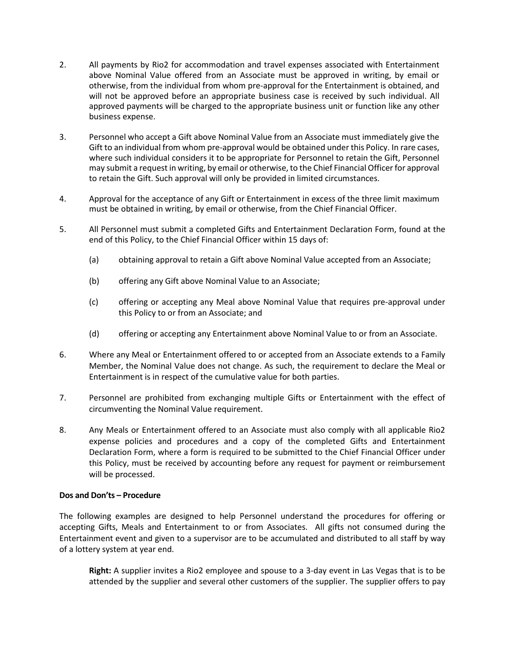- 2. All payments by Rio2 for accommodation and travel expenses associated with Entertainment above Nominal Value offered from an Associate must be approved in writing, by email or otherwise, from the individual from whom pre-approval for the Entertainment is obtained, and will not be approved before an appropriate business case is received by such individual. All approved payments will be charged to the appropriate business unit or function like any other business expense.
- 3. Personnel who accept a Gift above Nominal Value from an Associate must immediately give the Gift to an individual from whom pre-approval would be obtained under this Policy. In rare cases, where such individual considers it to be appropriate for Personnel to retain the Gift, Personnel may submit a request in writing, by email or otherwise, to the Chief Financial Officer for approval to retain the Gift. Such approval will only be provided in limited circumstances.
- 4. Approval for the acceptance of any Gift or Entertainment in excess of the three limit maximum must be obtained in writing, by email or otherwise, from the Chief Financial Officer.
- 5. All Personnel must submit a completed Gifts and Entertainment Declaration Form, found at the end of this Policy, to the Chief Financial Officer within 15 days of:
	- (a) obtaining approval to retain a Gift above Nominal Value accepted from an Associate;
	- (b) offering any Gift above Nominal Value to an Associate;
	- (c) offering or accepting any Meal above Nominal Value that requires pre-approval under this Policy to or from an Associate; and
	- (d) offering or accepting any Entertainment above Nominal Value to or from an Associate.
- 6. Where any Meal or Entertainment offered to or accepted from an Associate extends to a Family Member, the Nominal Value does not change. As such, the requirement to declare the Meal or Entertainment is in respect of the cumulative value for both parties.
- 7. Personnel are prohibited from exchanging multiple Gifts or Entertainment with the effect of circumventing the Nominal Value requirement.
- 8. Any Meals or Entertainment offered to an Associate must also comply with all applicable Rio2 expense policies and procedures and a copy of the completed Gifts and Entertainment Declaration Form, where a form is required to be submitted to the Chief Financial Officer under this Policy, must be received by accounting before any request for payment or reimbursement will be processed.

#### **Dos and Don'ts – Procedure**

The following examples are designed to help Personnel understand the procedures for offering or accepting Gifts, Meals and Entertainment to or from Associates. All gifts not consumed during the Entertainment event and given to a supervisor are to be accumulated and distributed to all staff by way of a lottery system at year end.

**Right:** A supplier invites a Rio2 employee and spouse to a 3-day event in Las Vegas that is to be attended by the supplier and several other customers of the supplier. The supplier offers to pay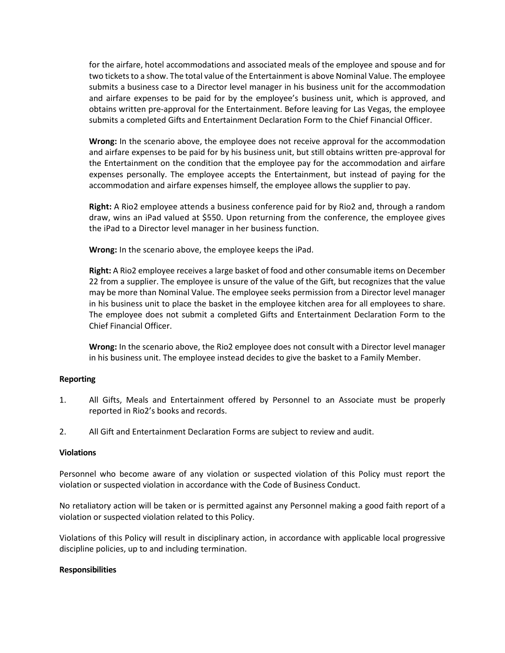for the airfare, hotel accommodations and associated meals of the employee and spouse and for two tickets to a show. The total value of the Entertainment is above Nominal Value. The employee submits a business case to a Director level manager in his business unit for the accommodation and airfare expenses to be paid for by the employee's business unit, which is approved, and obtains written pre-approval for the Entertainment. Before leaving for Las Vegas, the employee submits a completed Gifts and Entertainment Declaration Form to the Chief Financial Officer.

**Wrong:** In the scenario above, the employee does not receive approval for the accommodation and airfare expenses to be paid for by his business unit, but still obtains written pre-approval for the Entertainment on the condition that the employee pay for the accommodation and airfare expenses personally. The employee accepts the Entertainment, but instead of paying for the accommodation and airfare expenses himself, the employee allows the supplier to pay.

**Right:** A Rio2 employee attends a business conference paid for by Rio2 and, through a random draw, wins an iPad valued at \$550. Upon returning from the conference, the employee gives the iPad to a Director level manager in her business function.

**Wrong:** In the scenario above, the employee keeps the iPad.

**Right:** A Rio2 employee receives a large basket of food and other consumable items on December 22 from a supplier. The employee is unsure of the value of the Gift, but recognizes that the value may be more than Nominal Value. The employee seeks permission from a Director level manager in his business unit to place the basket in the employee kitchen area for all employees to share. The employee does not submit a completed Gifts and Entertainment Declaration Form to the Chief Financial Officer.

**Wrong:** In the scenario above, the Rio2 employee does not consult with a Director level manager in his business unit. The employee instead decides to give the basket to a Family Member.

#### **Reporting**

- 1. All Gifts, Meals and Entertainment offered by Personnel to an Associate must be properly reported in Rio2's books and records.
- 2. All Gift and Entertainment Declaration Forms are subject to review and audit.

#### **Violations**

Personnel who become aware of any violation or suspected violation of this Policy must report the violation or suspected violation in accordance with the Code of Business Conduct.

No retaliatory action will be taken or is permitted against any Personnel making a good faith report of a violation or suspected violation related to this Policy.

Violations of this Policy will result in disciplinary action, in accordance with applicable local progressive discipline policies, up to and including termination.

#### **Responsibilities**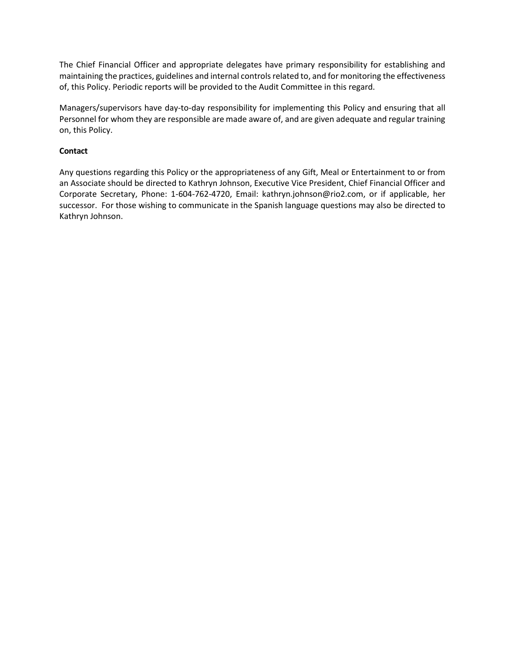The Chief Financial Officer and appropriate delegates have primary responsibility for establishing and maintaining the practices, guidelines and internal controls related to, and for monitoring the effectiveness of, this Policy. Periodic reports will be provided to the Audit Committee in this regard.

Managers/supervisors have day-to-day responsibility for implementing this Policy and ensuring that all Personnel for whom they are responsible are made aware of, and are given adequate and regular training on, this Policy.

# **Contact**

Any questions regarding this Policy or the appropriateness of any Gift, Meal or Entertainment to or from an Associate should be directed to Kathryn Johnson, Executive Vice President, Chief Financial Officer and Corporate Secretary, Phone: 1-604-762-4720, Email: kathryn.johnson@rio2.com, or if applicable, her successor. For those wishing to communicate in the Spanish language questions may also be directed to Kathryn Johnson.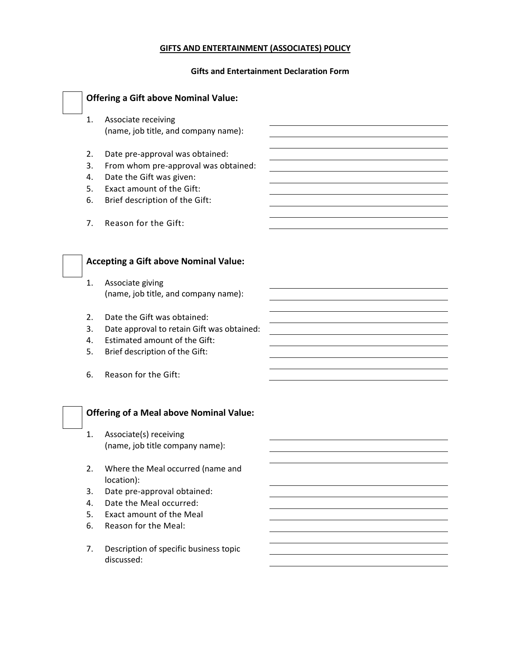# **GIFTS AND ENTERTAINMENT (ASSOCIATES) POLICY**

#### **Gifts and Entertainment Declaration Form**

| <b>Offering a Gift above Nominal Value:</b>                                                                                                                                                      |  |
|--------------------------------------------------------------------------------------------------------------------------------------------------------------------------------------------------|--|
| Associate receiving<br>1.<br>(name, job title, and company name):                                                                                                                                |  |
| Date pre-approval was obtained:<br>2.<br>3.<br>From whom pre-approval was obtained:<br>Date the Gift was given:<br>4.<br>Exact amount of the Gift:<br>5.<br>Brief description of the Gift:<br>6. |  |
| Reason for the Gift:<br>7.                                                                                                                                                                       |  |
| <b>Accepting a Gift above Nominal Value:</b>                                                                                                                                                     |  |
| Associate giving<br>1.                                                                                                                                                                           |  |
| (name, job title, and company name):                                                                                                                                                             |  |
| Date the Gift was obtained:<br>2.                                                                                                                                                                |  |
| 3.<br>Date approval to retain Gift was obtained:                                                                                                                                                 |  |
| Estimated amount of the Gift:<br>4.                                                                                                                                                              |  |
| Brief description of the Gift:<br>5.                                                                                                                                                             |  |
| Reason for the Gift:<br>6.                                                                                                                                                                       |  |
| <b>Offering of a Meal above Nominal Value:</b>                                                                                                                                                   |  |
| Associate(s) receiving<br>1.                                                                                                                                                                     |  |
| (name, job title company name):                                                                                                                                                                  |  |
| Where the Meal occurred (name and<br>2.<br>location):                                                                                                                                            |  |
| Date pre-approval obtained:<br>3.                                                                                                                                                                |  |
| Date the Meal occurred:<br>4.                                                                                                                                                                    |  |
| Exact amount of the Meal<br>5.                                                                                                                                                                   |  |
| Reason for the Meal:<br>6.                                                                                                                                                                       |  |
| Description of specific business topic<br>7.<br>discussed:                                                                                                                                       |  |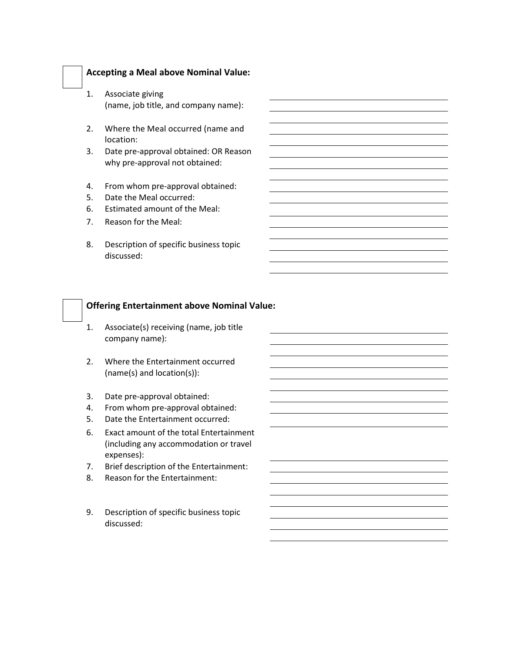## **Accepting a Meal above Nominal Value:**

- 1. Associate giving (name, job title, and company name):
- 2. Where the Meal occurred (name and location:
- 3. Date pre-approval obtained: OR Reason why pre-approval not obtained:
- 4. From whom pre-approval obtained:
- 5. Date the Meal occurred:
- 6. Estimated amount of the Meal:
- 7. Reason for the Meal:
- 8. Description of specific business topic discussed:

# **Offering Entertainment above Nominal Value:**

- 1. Associate(s) receiving (name, job title company name):
- 2. Where the Entertainment occurred (name(s) and location(s)):
- 3. Date pre-approval obtained:
- 4. From whom pre-approval obtained:
- 5. Date the Entertainment occurred:
- 6. Exact amount of the total Entertainment (including any accommodation or travel expenses):
- 7. Brief description of the Entertainment:
- 8. Reason for the Entertainment:
- 9. Description of specific business topic discussed: